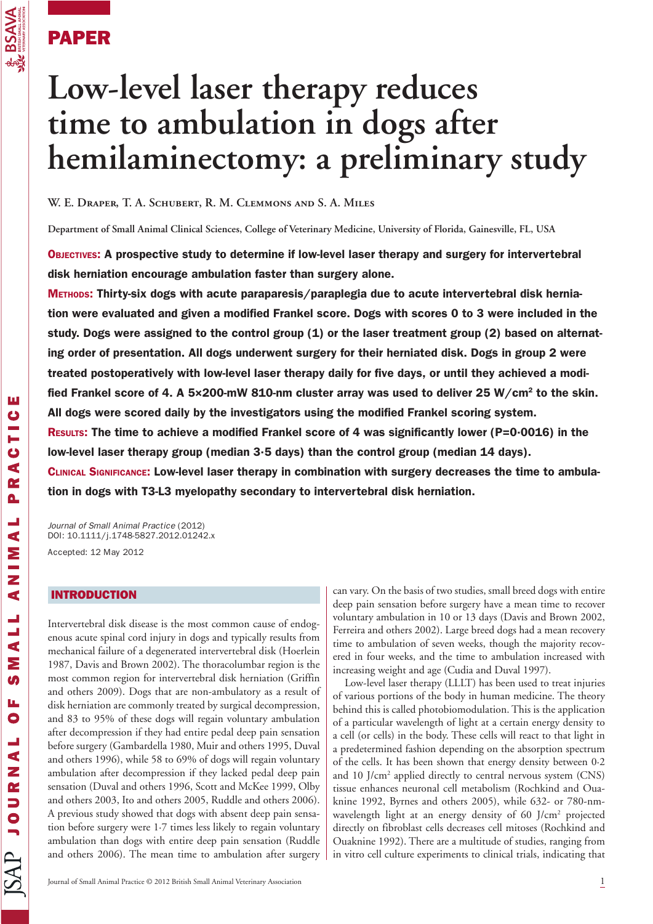# PAPER

 $\overline{\mathbf{S}}$ 

# **Low-level laser therapy reduces time to ambulation in dogs after hemilaminectomy: a preliminary study**

**W. E. Draper, T. A. Schubert, R. M. Clemmons and S. A. Miles**

**Department of Small Animal Clinical Sciences, College of Veterinary Medicine, University of Florida, Gainesville, FL, USA**

OBJECTIVES: A prospective study to determine if low-level laser therapy and surgery for intervertebral disk herniation encourage ambulation faster than surgery alone.

METHODS: Thirty-six dogs with acute paraparesis/paraplegia due to acute intervertebral disk herniation were evaluated and given a modified Frankel score. Dogs with scores 0 to 3 were included in the study. Dogs were assigned to the control group (1) or the laser treatment group (2) based on alternating order of presentation. All dogs underwent surgery for their herniated disk. Dogs in group 2 were treated postoperatively with low-level laser therapy daily for five days, or until they achieved a modified Frankel score of 4. A 5×200-mW 810-nm cluster array was used to deliver 25 W/cm2 to the skin. All dogs were scored daily by the investigators using the modified Frankel scoring system. RESULTS: The time to achieve a modified Frankel score of 4 was significantly lower (P=0·0016) in the low-level laser therapy group (median 3·5 days) than the control group (median 14 days). CLINICAL SIGNIFICANCE: Low-level laser therapy in combination with surgery decreases the time to ambula-

tion in dogs with T3-L3 myelopathy secondary to intervertebral disk herniation.

Journal of Small Animal Practice (2012) DOI: 10.1111/j.1748-5827.2012.01242.x Accepted: 12 May 2012

# INTRODUCTION

Intervertebral disk disease is the most common cause of endogenous acute spinal cord injury in dogs and typically results from mechanical failure of a degenerated intervertebral disk (Hoerlein 1987, Davis and Brown 2002). The thoracolumbar region is the most common region for intervertebral disk herniation (Griffin and others 2009). Dogs that are non-ambulatory as a result of disk herniation are commonly treated by surgical decompression, and 83 to 95% of these dogs will regain voluntary ambulation after decompression if they had entire pedal deep pain sensation before surgery (Gambardella 1980, Muir and others 1995, Duval and others 1996), while 58 to 69% of dogs will regain voluntary ambulation after decompression if they lacked pedal deep pain sensation (Duval and others 1996, Scott and McKee 1999, Olby and others 2003, Ito and others 2005, Ruddle and others 2006). A previous study showed that dogs with absent deep pain sensation before surgery were 1·7 times less likely to regain voluntary ambulation than dogs with entire deep pain sensation (Ruddle and others 2006). The mean time to ambulation after surgery

can vary. On the basis of two studies, small breed dogs with entire deep pain sensation before surgery have a mean time to recover voluntary ambulation in 10 or 13 days (Davis and Brown 2002, Ferreira and others 2002). Large breed dogs had a mean recovery time to ambulation of seven weeks, though the majority recovered in four weeks, and the time to ambulation increased with increasing weight and age (Cudia and Duval 1997).

Low-level laser therapy (LLLT) has been used to treat injuries of various portions of the body in human medicine. The theory behind this is called photobiomodulation. This is the application of a particular wavelength of light at a certain energy density to a cell (or cells) in the body. These cells will react to that light in a predetermined fashion depending on the absorption spectrum of the cells. It has been shown that energy density between 0·2 and 10 J/cm2 applied directly to central nervous system (CNS) tissue enhances neuronal cell metabolism (Rochkind and Ouaknine 1992, Byrnes and others 2005), while 632- or 780-nmwavelength light at an energy density of 60 J/cm<sup>2</sup> projected directly on fibroblast cells decreases cell mitoses (Rochkind and Ouaknine 1992). There are a multitude of studies, ranging from in vitro cell culture experiments to clinical trials, indicating that

ш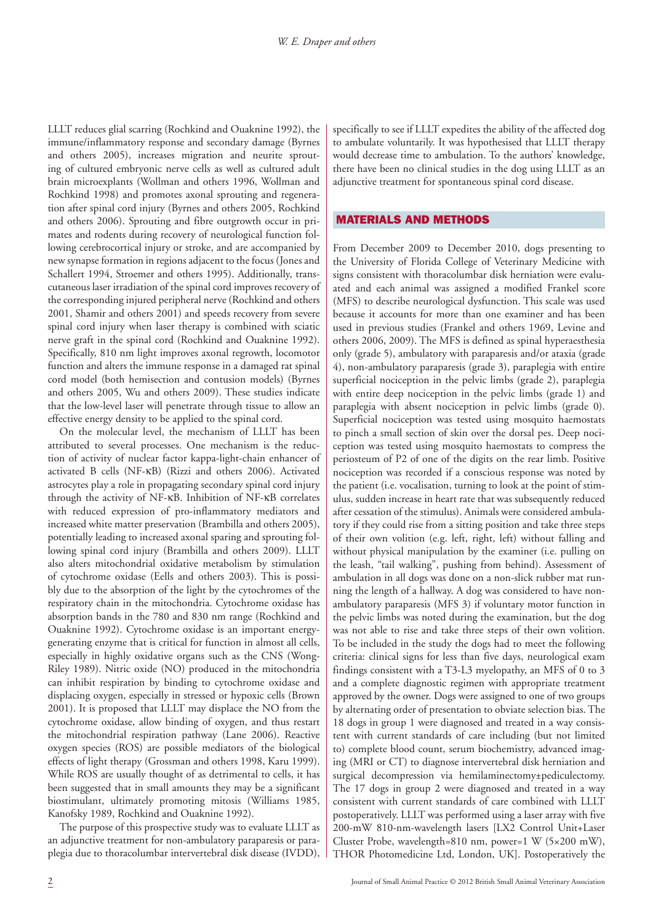LLLT reduces glial scarring (Rochkind and Ouaknine 1992), the immune/inflammatory response and secondary damage (Byrnes and others 2005), increases migration and neurite sprouting of cultured embryonic nerve cells as well as cultured adult brain microexplants (Wollman and others 1996, Wollman and Rochkind 1998) and promotes axonal sprouting and regeneration after spinal cord injury (Byrnes and others 2005, Rochkind and others 2006). Sprouting and fibre outgrowth occur in primates and rodents during recovery of neurological function following cerebrocortical injury or stroke, and are accompanied by new synapse formation in regions adjacent to the focus (Jones and Schallert 1994, Stroemer and others 1995). Additionally, transcutaneous laser irradiation of the spinal cord improves recovery of the corresponding injured peripheral nerve (Rochkind and others 2001, Shamir and others 2001) and speeds recovery from severe spinal cord injury when laser therapy is combined with sciatic nerve graft in the spinal cord (Rochkind and Ouaknine 1992). Specifically, 810 nm light improves axonal regrowth, locomotor function and alters the immune response in a damaged rat spinal cord model (both hemisection and contusion models) (Byrnes and others 2005, Wu and others 2009). These studies indicate that the low-level laser will penetrate through tissue to allow an effective energy density to be applied to the spinal cord.

On the molecular level, the mechanism of LLLT has been attributed to several processes. One mechanism is the reduction of activity of nuclear factor kappa-light-chain enhancer of activated B cells (NF-κB) (Rizzi and others 2006). Activated astrocytes play a role in propagating secondary spinal cord injury through the activity of NF-κB. Inhibition of NF-κB correlates with reduced expression of pro-inflammatory mediators and increased white matter preservation (Brambilla and others 2005), potentially leading to increased axonal sparing and sprouting following spinal cord injury (Brambilla and others 2009). LLLT also alters mitochondrial oxidative metabolism by stimulation of cytochrome oxidase (Eells and others 2003). This is possibly due to the absorption of the light by the cytochromes of the respiratory chain in the mitochondria. Cytochrome oxidase has absorption bands in the 780 and 830 nm range (Rochkind and Ouaknine 1992). Cytochrome oxidase is an important energygenerating enzyme that is critical for function in almost all cells, especially in highly oxidative organs such as the CNS (Wong-Riley 1989). Nitric oxide (NO) produced in the mitochondria can inhibit respiration by binding to cytochrome oxidase and displacing oxygen, especially in stressed or hypoxic cells (Brown 2001). It is proposed that LLLT may displace the NO from the cytochrome oxidase, allow binding of oxygen, and thus restart the mitochondrial respiration pathway (Lane 2006). Reactive oxygen species (ROS) are possible mediators of the biological effects of light therapy (Grossman and others 1998, Karu 1999). While ROS are usually thought of as detrimental to cells, it has been suggested that in small amounts they may be a significant biostimulant, ultimately promoting mitosis (Williams 1985, Kanofsky 1989, Rochkind and Ouaknine 1992).

The purpose of this prospective study was to evaluate LLLT as an adjunctive treatment for non-ambulatory paraparesis or paraplegia due to thoracolumbar intervertebral disk disease (IVDD), specifically to see if LLLT expedites the ability of the affected dog to ambulate voluntarily. It was hypothesised that LLLT therapy would decrease time to ambulation. To the authors' knowledge, there have been no clinical studies in the dog using LLLT as an adjunctive treatment for spontaneous spinal cord disease.

## MATERIALS AND METHODS

From December 2009 to December 2010, dogs presenting to the University of Florida College of Veterinary Medicine with signs consistent with thoracolumbar disk herniation were evaluated and each animal was assigned a modified Frankel score (MFS) to describe neurological dysfunction. This scale was used because it accounts for more than one examiner and has been used in previous studies (Frankel and others 1969, Levine and others 2006, 2009). The MFS is defined as spinal hyperaesthesia only (grade 5), ambulatory with paraparesis and/or ataxia (grade 4), non-ambulatory paraparesis (grade 3), paraplegia with entire superficial nociception in the pelvic limbs (grade 2), paraplegia with entire deep nociception in the pelvic limbs (grade 1) and paraplegia with absent nociception in pelvic limbs (grade 0). Superficial nociception was tested using mosquito haemostats to pinch a small section of skin over the dorsal pes. Deep nociception was tested using mosquito haemostats to compress the periosteum of P2 of one of the digits on the rear limb. Positive nociception was recorded if a conscious response was noted by the patient (i.e. vocalisation, turning to look at the point of stimulus, sudden increase in heart rate that was subsequently reduced after cessation of the stimulus). Animals were considered ambulatory if they could rise from a sitting position and take three steps of their own volition (e.g. left, right, left) without falling and without physical manipulation by the examiner (i.e. pulling on the leash, "tail walking", pushing from behind). Assessment of ambulation in all dogs was done on a non-slick rubber mat running the length of a hallway. A dog was considered to have nonambulatory paraparesis (MFS 3) if voluntary motor function in the pelvic limbs was noted during the examination, but the dog was not able to rise and take three steps of their own volition. To be included in the study the dogs had to meet the following criteria: clinical signs for less than five days, neurological exam findings consistent with a T3-L3 myelopathy, an MFS of 0 to 3 and a complete diagnostic regimen with appropriate treatment approved by the owner. Dogs were assigned to one of two groups by alternating order of presentation to obviate selection bias. The 18 dogs in group 1 were diagnosed and treated in a way consistent with current standards of care including (but not limited to) complete blood count, serum biochemistry, advanced imaging (MRI or CT) to diagnose intervertebral disk herniation and surgical decompression via hemilaminectomy±pediculectomy. The 17 dogs in group 2 were diagnosed and treated in a way consistent with current standards of care combined with LLLT postoperatively. LLLT was performed using a laser array with five 200-mW 810-nm-wavelength lasers [LX2 Control Unit+Laser Cluster Probe, wavelength=810 nm, power=1 W (5×200 mW), THOR Photomedicine Ltd, London, UK]. Postoperatively the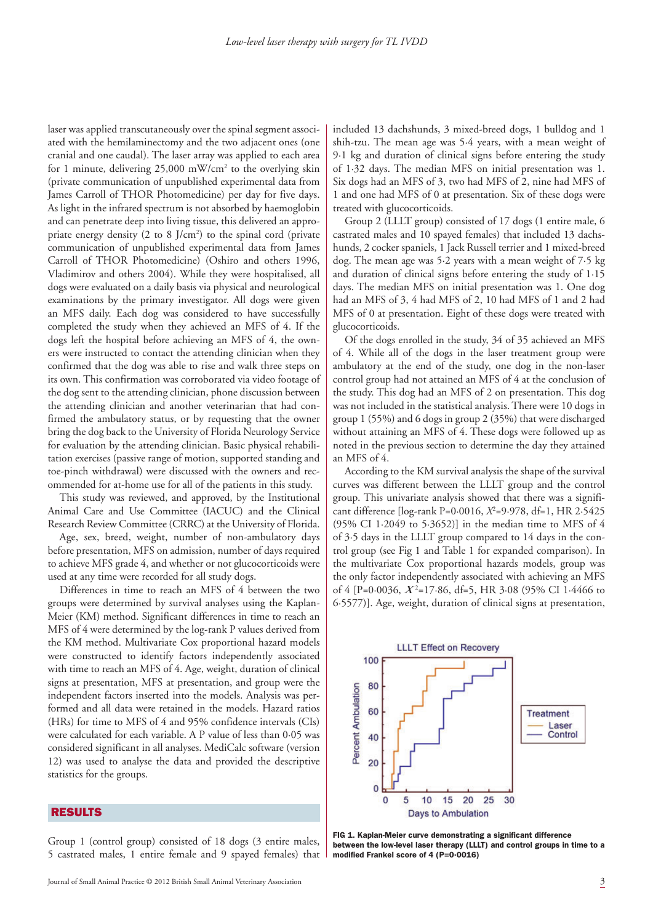laser was applied transcutaneously over the spinal segment associated with the hemilaminectomy and the two adjacent ones (one cranial and one caudal). The laser array was applied to each area for 1 minute, delivering 25,000 mW/cm<sup>2</sup> to the overlying skin (private communication of unpublished experimental data from James Carroll of THOR Photomedicine) per day for five days. As light in the infrared spectrum is not absorbed by haemoglobin and can penetrate deep into living tissue, this delivered an appropriate energy density  $(2 \text{ to } 8 \text{ J/cm}^2)$  to the spinal cord (private communication of unpublished experimental data from James Carroll of THOR Photomedicine) (Oshiro and others 1996, Vladimirov and others 2004). While they were hospitalised, all dogs were evaluated on a daily basis via physical and neurological examinations by the primary investigator. All dogs were given an MFS daily. Each dog was considered to have successfully completed the study when they achieved an MFS of 4. If the dogs left the hospital before achieving an MFS of 4, the owners were instructed to contact the attending clinician when they confirmed that the dog was able to rise and walk three steps on its own. This confirmation was corroborated via video footage of the dog sent to the attending clinician, phone discussion between the attending clinician and another veterinarian that had confirmed the ambulatory status, or by requesting that the owner bring the dog back to the University of Florida Neurology Service for evaluation by the attending clinician. Basic physical rehabilitation exercises (passive range of motion, supported standing and toe-pinch withdrawal) were discussed with the owners and recommended for at-home use for all of the patients in this study.

This study was reviewed, and approved, by the Institutional Animal Care and Use Committee (IACUC) and the Clinical Research Review Committee (CRRC) at the University of Florida.

Age, sex, breed, weight, number of non-ambulatory days before presentation, MFS on admission, number of days required to achieve MFS grade 4, and whether or not glucocorticoids were used at any time were recorded for all study dogs.

Differences in time to reach an MFS of 4 between the two groups were determined by survival analyses using the Kaplan-Meier (KM) method. Significant differences in time to reach an MFS of 4 were determined by the log-rank P values derived from the KM method. Multivariate Cox proportional hazard models were constructed to identify factors independently associated with time to reach an MFS of 4. Age, weight, duration of clinical signs at presentation, MFS at presentation, and group were the independent factors inserted into the models. Analysis was performed and all data were retained in the models. Hazard ratios (HRs) for time to MFS of 4 and 95% confidence intervals (CIs) were calculated for each variable. A P value of less than 0·05 was considered significant in all analyses. MediCalc software (version 12) was used to analyse the data and provided the descriptive statistics for the groups.

### RESULTS

Group 1 (control group) consisted of 18 dogs (3 entire males, 5 castrated males, 1 entire female and 9 spayed females) that included 13 dachshunds, 3 mixed-breed dogs, 1 bulldog and 1 shih-tzu. The mean age was 5·4 years, with a mean weight of 9·1 kg and duration of clinical signs before entering the study of 1·32 days. The median MFS on initial presentation was 1. Six dogs had an MFS of 3, two had MFS of 2, nine had MFS of 1 and one had MFS of 0 at presentation. Six of these dogs were treated with glucocorticoids.

Group 2 (LLLT group) consisted of 17 dogs (1 entire male, 6 castrated males and 10 spayed females) that included 13 dachshunds, 2 cocker spaniels, 1 Jack Russell terrier and 1 mixed-breed dog. The mean age was 5·2 years with a mean weight of 7·5 kg and duration of clinical signs before entering the study of 1·15 days. The median MFS on initial presentation was 1. One dog had an MFS of 3, 4 had MFS of 2, 10 had MFS of 1 and 2 had MFS of 0 at presentation. Eight of these dogs were treated with glucocorticoids.

Of the dogs enrolled in the study, 34 of 35 achieved an MFS of 4. While all of the dogs in the laser treatment group were ambulatory at the end of the study, one dog in the non-laser control group had not attained an MFS of 4 at the conclusion of the study. This dog had an MFS of 2 on presentation. This dog was not included in the statistical analysis. There were 10 dogs in group 1 (55%) and 6 dogs in group 2 (35%) that were discharged without attaining an MFS of 4. These dogs were followed up as noted in the previous section to determine the day they attained an MFS of 4.

According to the KM survival analysis the shape of the survival curves was different between the LLLT group and the control group. This univariate analysis showed that there was a significant difference [log-rank P=0·0016, *X*<sup>2</sup> =9·978, df=1, HR 2·5425 (95% CI 1·2049 to 5·3652)] in the median time to MFS of 4 of 3·5 days in the LLLT group compared to 14 days in the control group (see Fig 1 and Table 1 for expanded comparison). In the multivariate Cox proportional hazards models, group was the only factor independently associated with achieving an MFS of 4 [P=0·0036,  $X^2$ =17·86, df=5, HR 3·08 (95% CI 1·4466 to 6·5577)]. Age, weight, duration of clinical signs at presentation,



FIG 1. Kaplan-Meier curve demonstrating a significant difference between the low-level laser therapy (LLLT) and control groups in time to a modified Frankel score of 4 (P=0·0016)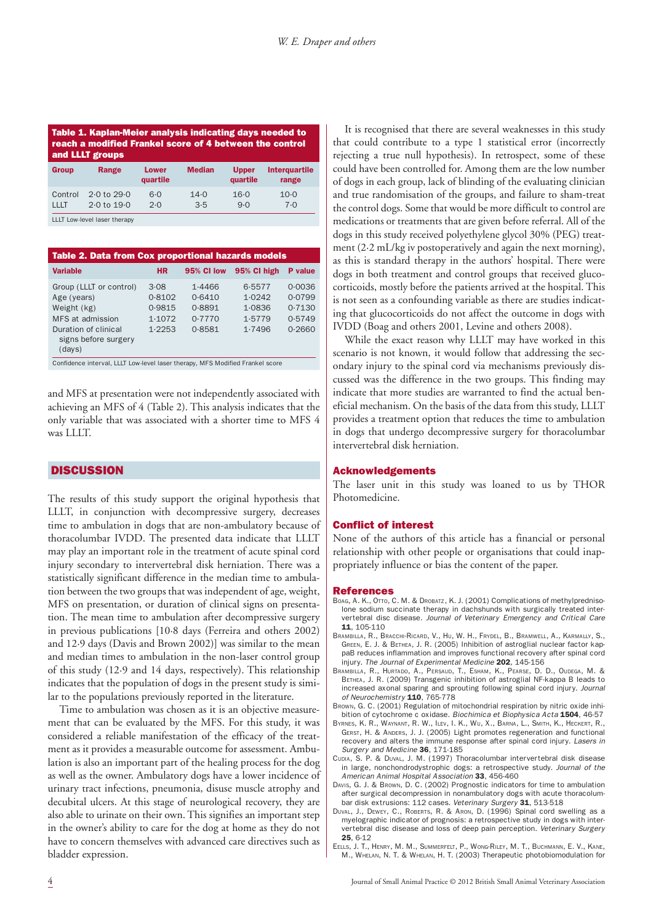| Table 1. Kaplan-Meier analysis indicating days needed to |
|----------------------------------------------------------|
| reach a modified Frankel score of 4 between the control  |
| and LLLT groups                                          |
|                                                          |

| <b>Group</b> | Range                  | <b>Lower</b><br>quartile | <b>Median</b> | <b>Upper</b><br>quartile | Interguartile<br>range |
|--------------|------------------------|--------------------------|---------------|--------------------------|------------------------|
| Control      | $2.0 \text{ to } 29.0$ | $6 - 0$                  | $14 - 0$      | $16 - 0$                 | $10-0$                 |
| 111T         | $2.0 \text{ to } 19.0$ | 2.0                      | 3.5           | 9.0                      | 7·0                    |

LLLT Low-level laser therapy

| <b>Table 2. Data from Cox proportional hazards models</b>                                                                           |                                              |                                                |                                                |                                                |  |  |  |  |
|-------------------------------------------------------------------------------------------------------------------------------------|----------------------------------------------|------------------------------------------------|------------------------------------------------|------------------------------------------------|--|--|--|--|
| <b>Variable</b>                                                                                                                     | <b>HR</b>                                    | 95% CI low                                     | 95% CI high                                    | P value                                        |  |  |  |  |
| Group (LLLT or control)<br>Age (years)<br>Weight (kg)<br>MFS at admission<br>Duration of clinical<br>signs before surgery<br>(days) | 3.08<br>0.8102<br>0.9815<br>1.1072<br>1.2253 | 1.4466<br>0.6410<br>0.8891<br>0.7770<br>0.8581 | 6.5577<br>1.0242<br>1.0836<br>1.5779<br>1.7496 | 0.0036<br>0.0799<br>0.7130<br>0.5749<br>0.2660 |  |  |  |  |

Confidence interval, LLLT Low-level laser therapy, MFS Modified Frankel score

and MFS at presentation were not independently associated with achieving an MFS of 4 (Table 2). This analysis indicates that the only variable that was associated with a shorter time to MFS 4 was LLLT.

#### **DISCUSSION**

The results of this study support the original hypothesis that LLLT, in conjunction with decompressive surgery, decreases time to ambulation in dogs that are non-ambulatory because of thoracolumbar IVDD. The presented data indicate that LLLT may play an important role in the treatment of acute spinal cord injury secondary to intervertebral disk herniation. There was a statistically significant difference in the median time to ambulation between the two groups that was independent of age, weight, MFS on presentation, or duration of clinical signs on presentation. The mean time to ambulation after decompressive surgery in previous publications [10·8 days (Ferreira and others 2002) and 12·9 days (Davis and Brown 2002)] was similar to the mean and median times to ambulation in the non-laser control group of this study (12·9 and 14 days, respectively). This relationship indicates that the population of dogs in the present study is similar to the populations previously reported in the literature.

Time to ambulation was chosen as it is an objective measurement that can be evaluated by the MFS. For this study, it was considered a reliable manifestation of the efficacy of the treatment as it provides a measurable outcome for assessment. Ambulation is also an important part of the healing process for the dog as well as the owner. Ambulatory dogs have a lower incidence of urinary tract infections, pneumonia, disuse muscle atrophy and decubital ulcers. At this stage of neurological recovery, they are also able to urinate on their own. This signifies an important step in the owner's ability to care for the dog at home as they do not have to concern themselves with advanced care directives such as bladder expression.

It is recognised that there are several weaknesses in this study that could contribute to a type 1 statistical error (incorrectly rejecting a true null hypothesis). In retrospect, some of these could have been controlled for. Among them are the low number of dogs in each group, lack of blinding of the evaluating clinician and true randomisation of the groups, and failure to sham-treat the control dogs. Some that would be more difficult to control are medications or treatments that are given before referral. All of the dogs in this study received polyethylene glycol 30% (PEG) treatment (2·2 mL/kg iv postoperatively and again the next morning), as this is standard therapy in the authors' hospital. There were dogs in both treatment and control groups that received glucocorticoids, mostly before the patients arrived at the hospital. This is not seen as a confounding variable as there are studies indicating that glucocorticoids do not affect the outcome in dogs with IVDD (Boag and others 2001, Levine and others 2008).

While the exact reason why LLLT may have worked in this scenario is not known, it would follow that addressing the secondary injury to the spinal cord via mechanisms previously discussed was the difference in the two groups. This finding may indicate that more studies are warranted to find the actual beneficial mechanism. On the basis of the data from this study, LLLT provides a treatment option that reduces the time to ambulation in dogs that undergo decompressive surgery for thoracolumbar intervertebral disk herniation.

#### Acknowledgements

The laser unit in this study was loaned to us by THOR Photomedicine.

#### Conflict of interest

None of the authors of this article has a financial or personal relationship with other people or organisations that could inappropriately influence or bias the content of the paper.

#### References

- BOAG, A. K., OTTO, C. M. & DROBATZ, K. J. (2001) Complications of methylprednisolone sodium succinate therapy in dachshunds with surgically treated intervertebral disc disease. Journal of Veterinary Emergency and Critical Care 11, 105-110
- BRAMBILLA, R., BRACCHI-RICARD, V., HU, W. H., FRYDEL, B., BRAMWELL, A., KARMALLY, S., GREEN, E. J. & BETHEA, J. R. (2005) Inhibition of astroglial nuclear factor kappaB reduces inflammation and improves functional recovery after spinal cord injury. The Journal of Experimental Medicine 202, 145-156
- BRAMBILLA, R., HURTADO, A., PERSAUD, T., ESHAM, K., PEARSE, D. D., OUDEGA, M. & BETHEA, J. R. (2009) Transgenic inhibition of astroglial NF-kappa B leads to increased axonal sparing and sprouting following spinal cord injury. Journal of Neurochemistry 110, 765-778
- BROWN, G. C. (2001) Regulation of mitochondrial respiration by nitric oxide inhibition of cytochrome c oxidase. Biochimica et Biophysica Acta 1504, 46-57
- BYRNES, K. R., WAYNANT, R. W., ILEV, I. K., WU, X., BARNA, L., SMITH, K., HECKERT, R., GERST, H. & ANDERS, J. J. (2005) Light promotes regeneration and functional recovery and alters the immune response after spinal cord injury. Lasers in Surgery and Medicine 36, 171-185
- CUDIA, S. P. & DUVAL, J. M. (1997) Thoracolumbar intervertebral disk disease in large, nonchondrodystrophic dogs: a retrospective study. Journal of the American Animal Hospital Association 33, 456-460
- DAVIS, G. J. & BROWN, D. C. (2002) Prognostic indicators for time to ambulation after surgical decompression in nonambulatory dogs with acute thoracolumbar disk extrusions: 112 cases. Veterinary Surgery 31, 513-518
- DUVAL, J., DEWEY, C., ROBERTS, R. & ARON, D. (1996) Spinal cord swelling as a myelographic indicator of prognosis: a retrospective study in dogs with intervertebral disc disease and loss of deep pain perception. Veterinary Surgery 25, 6-12
- EELLS, J. T., HENRY, M. M., SUMMERFELT, P., WONG-RILEY, M. T., BUCHMANN, E. V., KANE, M., WHELAN, N. T. & WHELAN, H. T. (2003) Therapeutic photobiomodulation for